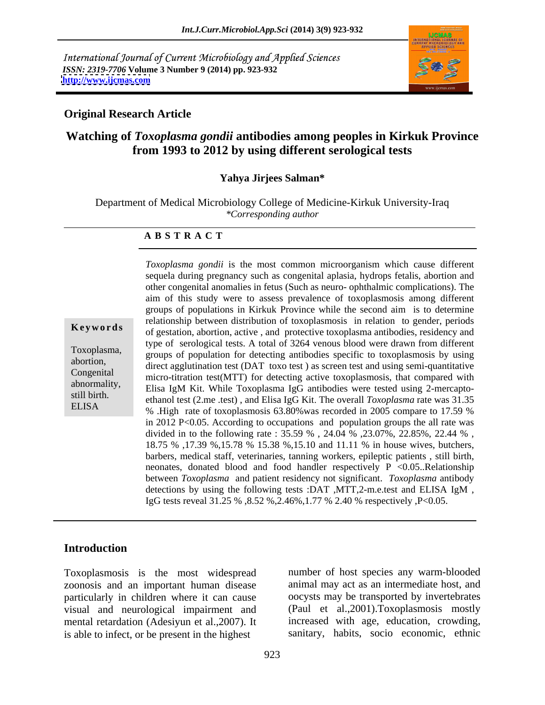International Journal of Current Microbiology and Applied Sciences *ISSN: 2319-7706* **Volume 3 Number 9 (2014) pp. 923-932 <http://www.ijcmas.com>**



#### **Original Research Article**

# **Watching of** *Toxoplasma gondii* **antibodies among peoples in Kirkuk Province from 1993 to 2012 by using different serological tests**

#### **Yahya Jirjees Salman\***

Department of Medical Microbiology College of Medicine-Kirkuk University-Iraq *\*Corresponding author* 

#### **A B S T R A C T**

**Keywords** of gestation, abortion, active , and protective toxoplasma antibodies, residency and Toxoplasma, groups of population for detecting antibodies specific to toxoplasmosis by using abortion,<br>
direct agglutination test (DAT toxo test) as screen test and using semi-quantitative Congenital micro-titration test(MTT) for detecting active toxoplasmosis, that compared with abnormality,<br>
Elisa IgM Kit. While Toxoplasma IgG antibodies were tested using 2-mercaptostill birth.<br>
ethanol test (2.me .test), and Elisa IgG Kit. The overall *Toxoplasma* rate was 31.35 ELISA  $\%$  .High rate of toxoplasmosis 63.80% was recorded in 2005 compare to 17.59 % *Toxoplasma gondii* is the most common microorganism which cause different sequela during pregnancy such as congenital aplasia, hydrops fetalis, abortion and other congenital anomalies in fetus (Such as neuro- ophthalmic complications). The aim of this study were to assess prevalence of toxoplasmosis among different groups of populations in Kirkuk Province while the second aim is to determine relationship between distribution of toxoplasmosis in relation to gender, periods type of serological tests. A total of 3264 venous blood were drawn from different in 2012 P<0.05. According to occupations and population groups the all rate was divided in to the following rate : 35.59 % , 24.04 % ,23.07%, 22.85%, 22.44 % , 18.75 % ,17.39 %,15.78 % 15.38 %,15.10 and 11.11 % in house wives, butchers, barbers, medical staff, veterinaries, tanning workers, epileptic patients , still birth, neonates, donated blood and food handler respectively  $P \leq 0.05$ . Relationship between *Toxoplasma* and patient residency not significant. *Toxoplasma* antibody detections by using the following tests :DAT ,MTT,2-m.e.test and ELISA IgM , IgG tests reveal 31.25 % ,8.52 %,2.46%,1.77 % 2.40 % respectively ,P<0.05.

#### **Introduction**

Toxoplasmosis is the most widespread zoonosis and an important human disease particularly in children where it can cause visual and neurological impairment and mental retardation (Adesiyun et al.,2007). It is able to infect, or be present in the highest

number of host species any warm-blooded animal may act as an intermediate host, and oocysts may be transported by invertebrates (Paul et al.,2001).Toxoplasmosis mostly increased with age, education, crowding, sanitary, habits, socio economic, ethnic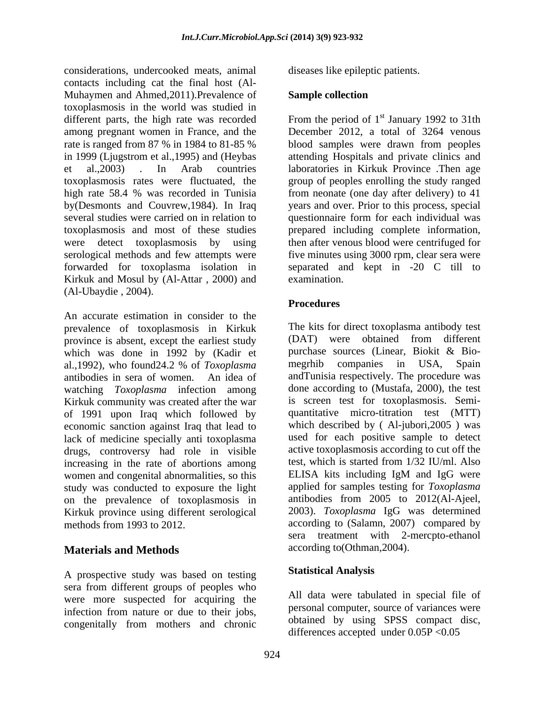considerations, undercooked meats, animal contacts including cat the final host (Al- Muhaymen and Ahmed, 2011). Prevalence of Sample collection toxoplasmosis in the world was studied in different parts, the high rate was recorded From the period of  $1<sup>st</sup>$  January 1992 to 31th among pregnant women in France, and the December 2012, a total of 3264 venous rate is ranged from 87 % in 1984 to 81-85 % blood samples were drawn from peoples in 1999 (Ljugstrom et al.,1995) and (Heybas attending Hospitals and private clinics and et al.,2003) . In Arab countries laboratories in Kirkuk Province .Then age toxoplasmosis rates were fluctuated, the group of peoples enrolling the study ranged high rate 58.4 % was recorded in Tunisia by(Desmonts and Couvrew,1984). In Iraq years and over. Prior to this process, special several studies were carried on in relation to questionnaire form for each individual was toxoplasmosis and most of these studies prepared including complete information, were detect toxoplasmosis by using then after venous blood were centrifuged for serological methods and few attempts were five minutes using 3000 rpm, clear sera were forwarded for toxoplasma isolation in separated and kept in -20 C till to Kirkuk and Mosul by (Al-Attar, 2000) and examination. (Al-Ubaydie , 2004).

An accurate estimation in consider to the prevalence of toxoplasmosis in Kirkuk<br>
province is absent except the earliest study<br>
(DAT) were obtained from different province is absent, except the earliest study which was done in 1992 by (Kadir et purchase sources (Linear, Biokit & Bio-<br>al. 1992) who found 24.2 % of *Toxonlasma* meghib companies in USA, Spain al.,1992), who found24.2 % of *Toxoplasma*  antibodies in sera of women. An idea of andTunisia respectively. The procedure was watching *Toxoplasma* infection among Kirkuk community was created after the war of 1991 upon Iraq which followed by economic sanction against Iraq that lead to lack of medicine specially anti toxoplasma drugs, controversy had role in visible increasing in the rate of abortions among test, which is started from 1/32 IU/ml. Also<br>women and congenital abnormalities, so this ELISA kits including IgM and IgG were women and congenital abnormalities, so this study was conducted to exposure the light on the prevalence of toxoplasmosis in Kirkuk province using different serological<br>methods from 1993 to 2012.

# **Materials and Methods**

A prospective study was based on testing sera from different groups of peoples who were more suspected for acquiring the infection from nature or due to their jobs, congenitally from mothers and chronic

diseases like epileptic patients.

### **Sample collection**

st January 1992 to 31th from neonate (one day after delivery) to 41 examination.

# **Procedures**

methods from 1993 to 2012. according to (Salamn, 2007) compared by The kits for direct toxoplasma antibody test (DAT) were obtained from different purchase sources (Linear, Biokit & Bio megrhib companies in USA, Spain done according to (Mustafa, 2000), the test is screen test for toxoplasmosis. Semi quantitative micro-titration test (MTT) which described by ( Al-jubori,2005 ) was used for each positive sample to detect active toxoplasmosis according to cut off the test, which is started from 1/32 IU/ml. Also ELISA kits including IgM and IgG were applied for samples testing for *Toxoplasma* antibodies from 2005 to 2012(Al-Ajeel, 2003). *Toxoplasma* IgG was determined sera treatment with 2-mercpto-ethanol according to(Othman,2004).

# **Statistical Analysis**

All data were tabulated in special file of personal computer, source of variances were obtained by using SPSS compact disc, differences accepted under  $0.05P < 0.05$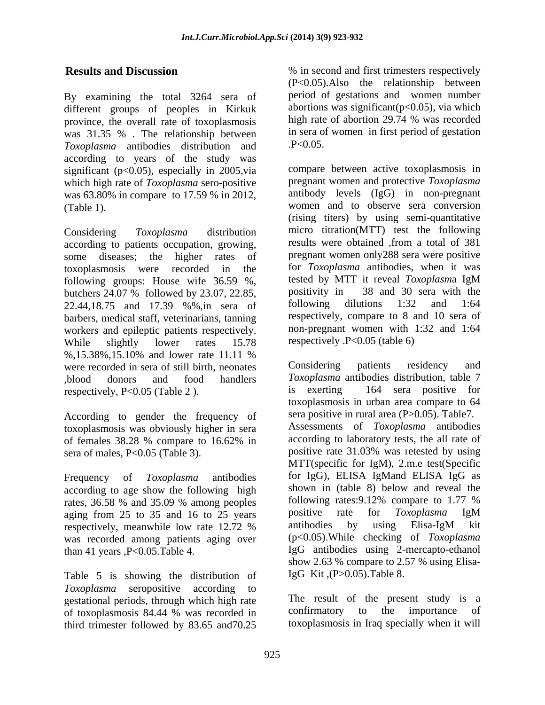By examining the total 3264 sera of different groups of peoples in Kirkuk abortions was significant  $(p<0.05)$ , via which<br>province the overall rate of toxoplasmosis high rate of abortion 29.74 % was recorded province, the overall rate of toxoplasmosis was 31.35 %. The relationship between in sera of<br>Taxonlasma antibodies distribution and  $P < 0.05$ . *Toxoplasma* antibodies distribution and according to years of the study was significant (p<0.05), especially in 2005, via which high rate of *Toxoplasma* sero-positive was 63.80% in compare to 17.59 % in 2012,

according to patients occupation, growing, some diseases; the higher rates of barbers, medical staff, veterinarians, tanning workers and epileptic patients respectively. While slightly lower rates 15.78 respectively P<0.05 (table 6) %,15.38%,15.10% and lower rate 11.11 % were recorded in sera of still birth, neonates Considering patients residency and respectively, P<0.05 (Table 2). is exerting

According to gender the frequency of toxoplasmosis was obviously higher in sera

according to age show the following high shown in (table 8) below and reveal the rates 36.58 % and 35.09 % among peoples following rates: 9.12% compare to 1.77 % rates, 36.58 % and 35.09 % among peoples following rates: 9.12% compare to 1.77 % ratios from 25 to 35 and 16 to 25 years positive rate for *Toxoplasma* IgM aging from 25 to 35 and 16 to 25 years positive rate for *Toxoplasma* IgM<br>respectively meanwhile low rate 12.72 % antibodies by using Elisa-IgM kit was recorded among patients aging over

Table 5 is showing the distribution of *Toxoplasma* seropositive according to gestational periods, through which high rate The result of the present study is a of toxoplasmosis 84.44 % was recorded in confirmatory to the importance of of toxoplasmosis 84.44 % was recorded in third trimester followed by 83.65 and70.25

**Results and Discussion**  $\%$  in second and first trimesters respectively (P<0.05).Also the relationship between period of gestations and women number abortions was significant( $p<0.05$ ), via which high rate of abortion 29.74 % was recorded in sera of women in first period of gestation .P<0.05.

(Table 1). women and to observe sera conversion Considering *Toxoplasma* distribution micro titration(MTT) test the following toxoplasmosis were recorded in the for *Toxoplasma* antibodies, when it was following groups: House wife 36.59 %, tested by MTT it reveal Toxoplasma IgM<br>butchers 24.07 % followed by 23.07, 22.85, positivity in 38 and 30 sera with the<br>22.44,18.75 and 17.39 %%,in sera of following dilutions 1:32 an compare between active toxoplasmosis in pregnant women and protective *Toxoplasma* antibody levels (IgG) in non-pregnant (rising titers) by using semi-quantitative results were obtained ,from a total of 381 pregnant women only288 sera were positive tested by MTT it reveal *Toxoplasm*a IgM positivity in 38 and 30 sera with the following dilutions 1:32 and 1:64 respectively, compare to 8 and 10 sera of non-pregnant women with 1:32 and 1:64 respectively .P<0.05 (table 6)

,blood donors and food handlers *Toxoplasma* antibodies distribution, table 7 of females 38.28 % compare to 16.62% in according to laboratory tests, the all rate of sera of males, P<0.05 (Table 3). positive rate 31.03% was retested by using MTT(specific for IgM), 2.m.e test(Specific<br>Frequency of *Toxoplasma* antibodies for IgG), ELISA IgMand ELISA IgG as respectively, meanwhile low rate 12.72 % antibodies by using Elisa-IgM kit than 41 years ,P<0.05.Table 4. IgG antibodies using 2-mercapto-ethanol Considering patients residency and 164 sera positive for toxoplasmosis in urban area compare to 64 sera positive in rural area (P>0.05). Table7. Assessments of *Toxoplasma* antibodies according to laboratory tests, the all rate of MTT(specific for IgM), 2.m.e test(Specific for IgG), ELISA IgMand ELISA IgG as shown in (table 8) below and reveal the following rates:9.12% compare to 1.77 % positive rate for *Toxoplasma* IgM antibodies by using Elisa-IgM kit (p<0.05).While checking of *Toxoplasma* show 2.63 % compare to 2.57 % using Elisa-IgG Kit ,(P>0.05).Table 8.

> The result of the present study is a confirmatory to the importance of toxoplasmosis in Iraq specially when it will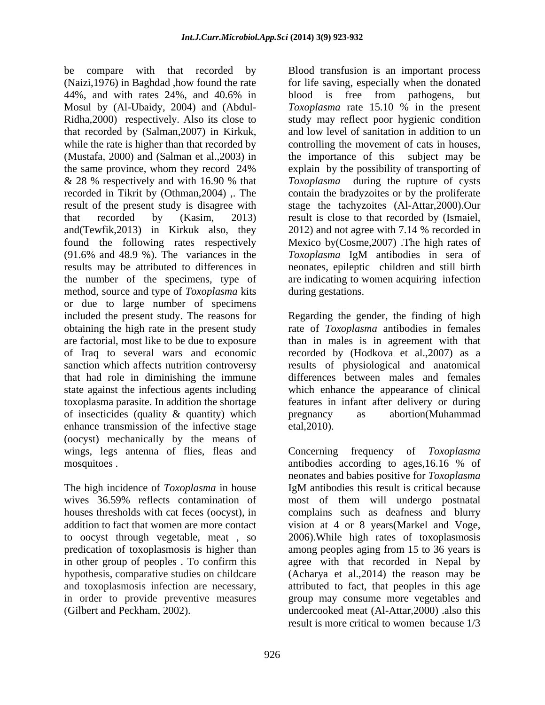be compare with that recorded by Blood transfusion is an important process (Naizi,1976) in Baghdad ,how found the rate 44%, and with rates 24%, and 40.6% in Mosul by (Al-Ubaidy, 2004) and (Abdul- *Toxoplasma* rate 15.10 % in the present Ridha,2000) respectively. Also its close to study may reflect poor hygienic condition that recorded by (Salman,2007) in Kirkuk, while the rate is higher than that recorded by (Mustafa, 2000) and (Salman et al.,2003) in the same province, whom they record 24% explain by the possibility of transporting of & 28 % respectively and with 16.90 % that *Toxoplasma* during the rupture of cysts recorded in Tikrit by (Othman, 2004), The contain the bradyzoites or by the proliferate result of the present study is disagree with that recorded by (Kasim, 2013) result is close to that recorded by (Ismaiel, and(Tewfik,2013) in Kirkuk also, they 2012) and not agree with 7.14 % recorded in found the following rates respectively Mexico by(Cosme,2007) .The high rates of  $(91.6\%$  and 48.9 %). The variances in the  $Toxoplasma$  IgM antibodies in sera of results may be attributed to differences in neonates, epileptic children and still birth the number of the specimens, type of are indicating to women acquiring infection method, source and type of *Toxoplasma* kits or due to large number of specimens are factorial, most like to be due to exposure that had role in diminishing the immune of insecticides (quality  $\&$  quantity) which pregnancy as abortion(Muhammad enhance transmission of the infective stage etal, 2010). enhance transmission of the infective stage (oocyst) mechanically by the means of wings, legs antenna of flies, fleas and Concerning frequency of Toxoplasma be compare with that recorded by Rioslan is an important present transform is a miniportal proper states. and the comparison is a free from subseque, but the states and Nobel is the from subseque, but the states and Nobel

The high incidence of *Toxoplasma* in house IgM antibodies this result is critical because

for life saving, especially when the donated blood is free from pathogens, but and low level of sanitation in addition to un controlling the movement of cats in houses, the importance of this subject may be explain by the possibility of transporting of stage the tachyzoites (Al-Attar,2000).Our *Toxoplasma* IgM antibodies in sera of during gestations.

included the present study. The reasons for Regarding the gender, the finding of high obtaining the high rate in the present study rate of *Toxoplasma* antibodies in females of Iraq to several wars and economic recorded by (Hodkova et al.,2007) as a sanction which affects nutrition controversy results of physiological and anatomical state against the infectious agents including which enhance the appearance of clinical toxoplasma parasite. In addition the shortage features in infant after delivery or during than in males is in agreement with that differences between males and females pregnancy as abortion(Muhammad  $etal, 2010$ ).

mosquitoes . antibodies according to ages,16.16 % of wives 36.59% reflects contamination of most of them will undergo postnatal houses thresholds with cat feces (oocyst), in complains such as deafness and blurry addition to fact that women are more contact vision at 4 or 8 years(Markel and Voge, to oocyst through vegetable, meat , so 2006).While high rates of toxoplasmosis predication of toxoplasmosis is higher than among peoples aging from 15 to 36 years is in other group of peoples . To confirm this agree with that recorded in Nepal by hypothesis, comparative studies on childcare (Acharya et al.,2014) the reason may be and toxoplasmosis infection are necessary, attributed to fact, that peoples in this age in order to provide preventive measures group may consume more vegetables and Concerning frequency of *Toxoplasma* neonates and babies positive for *Toxoplasma* IgM antibodies this result is critical because undercooked meat (Al-Attar,2000) .also this result is more critical to women because 1/3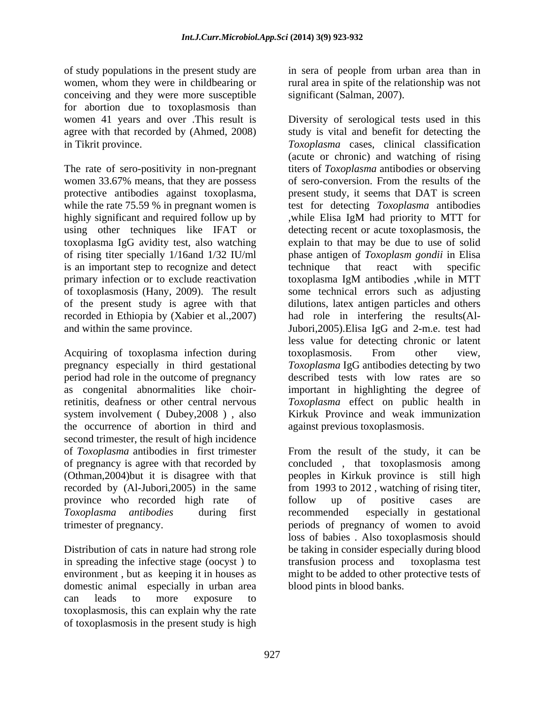women, whom they were in childbearing or conceiving and they were more susceptible for abortion due to toxoplasmosis than<br>women 41 years and over .This result is agree with that recorded by (Ahmed, 2008)

women 33.67% means, that they are possess protective antibodies against toxoplasma, using other techniques like IFAT or is an important step to recognize and detect technique that react with specific

Acquiring of toxoplasma infection during toxoplasmosis. From other view, pregnancy especially in third gestational period had role in the outcome of pregnancy system involvement ( Dubey,2008 ) , also the occurrence of abortion in third and second trimester, the result of high incidence recorded by (Al-Jubori, 2005) in the same from 1993 to 2012, watching of rising titer, province who recorded high rate of follow up of positive cases are

in spreading the infective stage (oocyst) to transfusion process and toxoplasma test domestic animal especially in urban area can leads to more exposure to toxoplasmosis, this can explain why the rate of toxoplasmosis in the present study is high

of study populations in the present study are in sera of people from urban area than in rural area in spite of the relationship was not significant (Salman, 2007).

women 41 years and over .This result is Diversity of serological tests used in this in Tikrit province. *Toxoplasma* cases, clinical classification The rate of sero-positivity in non-pregnant titers of *Toxoplasma* antibodies or observing while the rate 75.59 % in pregnant women is test for detecting *Toxoplasma* antibodies highly significant and required follow up by while Elisa IgM had priority to MTT for toxoplasma IgG avidity test, also watching explain to that may be due to use of solid of rising titer specially 1/16and 1/32 IU/ml phase antigen of *Toxoplasm gondii* in Elisa primary infection or to exclude reactivation toxoplasma IgM antibodies ,while in MTT of toxoplasmosis (Hany, 2009). The result some technical errors such as adjusting of the present study is agree with that dilutions, latex antigen particles and others recorded in Ethiopia by (Xabier et al.,2007) had role in interfering the results(Al and within the same province. Jubori,2005).Elisa IgG and 2-m.e. test had as congenital abnormalities like choir-important in highlighting the degree of retinitis, deafness or other central nervous *Toxoplasma* effect on public health in study is vital and benefit for detecting the (acute or chronic) and watching of rising of sero-conversion. From the results of the present study, it seems that DAT is screen detecting recent or acute toxoplasmosis, the technique that react with specific less value for detecting chronic or latent toxoplasmosis. From other view, *Toxoplasma* IgG antibodies detecting by two described tests with low rates are so Kirkuk Province and weak immunization against previous toxoplasmosis.

of *Toxoplasma* antibodies in first trimester From the result of the study, it can be of pregnancy is agree with that recorded by concluded , that toxoplasmosis among (Othman,2004)but it is disagree with that peoples in Kirkuk province is still high *Toxoplasma antibodies* during first recommended especially in gestational trimester of pregnancy. periods of pregnancy of women to avoid Distribution of cats in nature had strong role be taking in consider especially during blood environment , but as keeping it in houses as might to be added to other protective tests of from 1993 to 2012, watching of rising titer,<br>follow up of positive cases are loss of babies . Also toxoplasmosis should transfusion process and toxoplasma test blood pints in blood banks.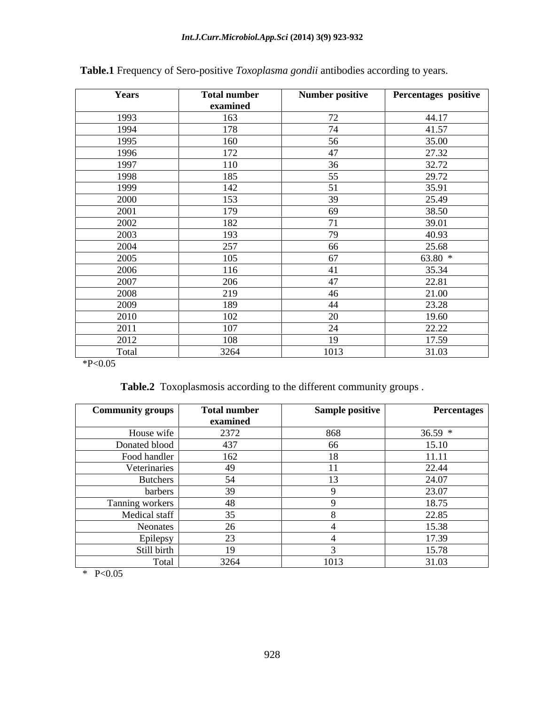| Years | <b>Total number</b> | <b>Number positive</b> | Percentages positive |
|-------|---------------------|------------------------|----------------------|
|       | examined            |                        |                      |
| 1993  | 163                 | 72                     | 44.17                |
| 1994  | 178                 | 74                     | 41.57                |
| 1995  | 160                 | 56                     | 35.00                |
| 1996  | 172                 | 47                     | 27.32                |
| 1997  | 110                 | 36                     | 32.72                |
| 1998  | 185                 | 55                     | 29.72                |
| 1999  | 142                 | 51                     | 35.91                |
| 2000  | 153                 | 39                     | 25.49                |
| 2001  | 179                 | 69                     | 38.50                |
| 2002  | 182                 | 71                     | 39.01                |
| 2003  | 193                 | 79                     | 40.93                |
| 2004  | 257                 | 66                     | 25.68                |
| 2005  | 105                 | 67                     | $63.80*$             |
| 2006  | 116                 | 41                     | 35.34                |
| 2007  | 206                 | 47                     | 22.81                |
| 2008  | 219                 | 46                     | 21.00                |
| 2009  | 189                 | 44                     | 23.28                |
| 2010  | 102                 | 20                     | 19.60                |
| 2011  | 107                 | 24                     | 22.22                |
| 2012  | 108                 | 19                     | 17.59                |
| Total | 3264                | 1013                   | 31.03                |

# **Table.1** Frequency of Sero-positive *Toxoplasma gondii* antibodies according to years.

 $*P<0.05$ 

**Table.2** Toxoplasmosis according to the different community groups .

| <b>Community groups</b> | <b>Total number</b><br>examined | Sample positive | <b>Percentages</b> |
|-------------------------|---------------------------------|-----------------|--------------------|
| House wife              | 2372                            | 868             | $36.59*$           |
| Donated blood           | 437                             | hh              | 15.10              |
| Food handler            | 162<br>$U \sim$                 |                 | 11.11              |
| Veterinaries            | 49                              |                 | 22.44              |
| <b>Butchers</b>         |                                 |                 | 24.07              |
| barbers                 | 20                              |                 | 23.07              |
| Tanning workers         | 48                              |                 | 18.75              |
| Medical staff           | $\sim$ $\sim$                   |                 | 22.85              |
| Neonates                | ZU.                             |                 | 15.38              |
| Epilepsy                | $\sim$                          |                 | 17.39              |
| Still birth             | 19                              |                 | 15.78              |
| Total                   | 3264                            | 1013            | 31.03              |

\* P<0.05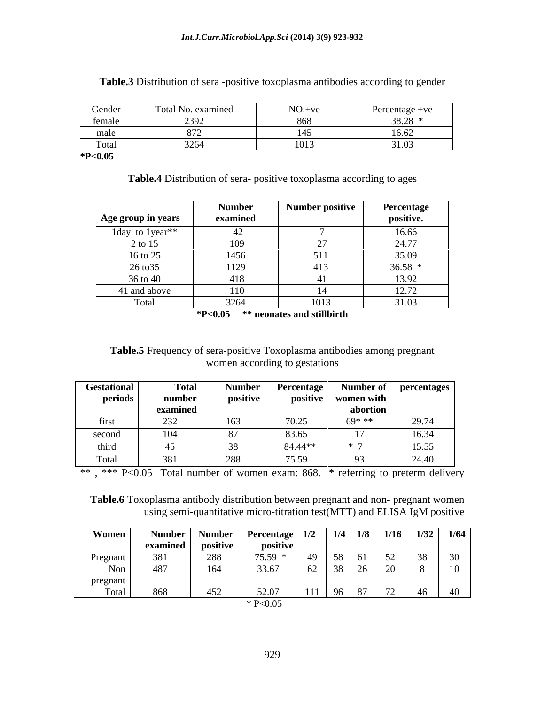| Gender     | Total No. examined                    | $NO.+ve$          | Percentage +ve         |
|------------|---------------------------------------|-------------------|------------------------|
| female     | 220<br>$' \triangleleft \cup$<br>---- | $0<\Omega$<br>vvv | 20.20<br>,,,,,         |
| male       |                                       | .                 | $\sim$ $\sim$<br>16.62 |
| <b>TOM</b> | $\frac{1}{2}$<br>$\lambda$            | 1013              | 31.03                  |

**Table.3** Distribution of sera -positive toxoplasma antibodies according to gender

**\*P<0.05**

**Table.4** Distribution of sera- positive toxoplasma according to ages

|                               | <b>Number</b> | <b>Number positive</b> | Percentage             |
|-------------------------------|---------------|------------------------|------------------------|
| <b>Age group in years</b>     | examined      |                        | positive.              |
| 1 day to 1 year <sup>**</sup> | $\sim$        |                        | 16.66                  |
| 2 to 15                       | 109           |                        | 24.77                  |
| 16 to 25                      | 1456          | 511<br>JII             | 35.09                  |
| 26 to 35                      | 1129          | 413                    | $36.58*$               |
| 36 to 40                      | 418           |                        | 13.92                  |
| 41 and above                  | 110           |                        | 12.72<br>$1 \angle .1$ |
| Total                         | 3264          | 1013                   | 31.03                  |

**\*P<0.05 \*\* neonates and stillbirth**

**Table.5** Frequency of sera-positive Toxoplasma antibodies among pregnant women according to gestations

| Gestational | <b>Total</b>                                    | Number     | <b>Percentage</b> | Number of  | percentages |
|-------------|-------------------------------------------------|------------|-------------------|------------|-------------|
| periods     | number                                          | positive   | positive          | women with |             |
|             | the contract of the contract of the<br>examined |            |                   | abortion   |             |
| шм          | $\sim$<br>ےرے                                   | 62<br>LUJ. | 70.25             | $60***$    | 29.74       |
| second      | 104                                             | $\sim$     | 83.65             |            | 16.34       |
| third       |                                                 |            | 84.44**           |            | 15.55       |
| Total       | 381<br><u>JUI</u>                               | 288        | 75.59             | $\cap$     | 24.40       |

\*\*, \*\*\* P<0.05 Total number of women exam: 868. \* referring to preterm delivery

**Table.6** Toxoplasma antibody distribution between pregnant and non- pregnant women using semi-quantitative micro-titration test(MTT) and ELISA IgM positive

| Women    | <b>Number</b> | $\mathbf{v}$<br>Number | <b>Percentage</b> | 1/2                | 1/4                 | 1/8               | 1/16 | 1/32                        | 1/64                   |
|----------|---------------|------------------------|-------------------|--------------------|---------------------|-------------------|------|-----------------------------|------------------------|
|          | examined      | positive               | positive          |                    |                     |                   |      |                             |                        |
| Pregnant | 201<br>38 J   | 288                    | 75.59             |                    | $\sim$ $\sim$<br>51 | $\sqrt{2}$<br>ΩT. | 52   | $\Omega$<br>$\sim$ $\times$ | $\sim$                 |
| Non      | 487           | 164                    | 33.67             | $\sim$<br>$U \sim$ | 38                  | $\sim$<br>$\sim$  | 20   | .                           | $\overline{10}$<br>1 U |
| pregnant |               |                        |                   |                    |                     |                   |      |                             |                        |
| Total    | 868           | 452                    | 52.07             | 111                | $\Omega$            | 87                | 72   | $\sqrt{2}$                  |                        |
|          |               |                        | P < 0.05          |                    |                     |                   |      |                             |                        |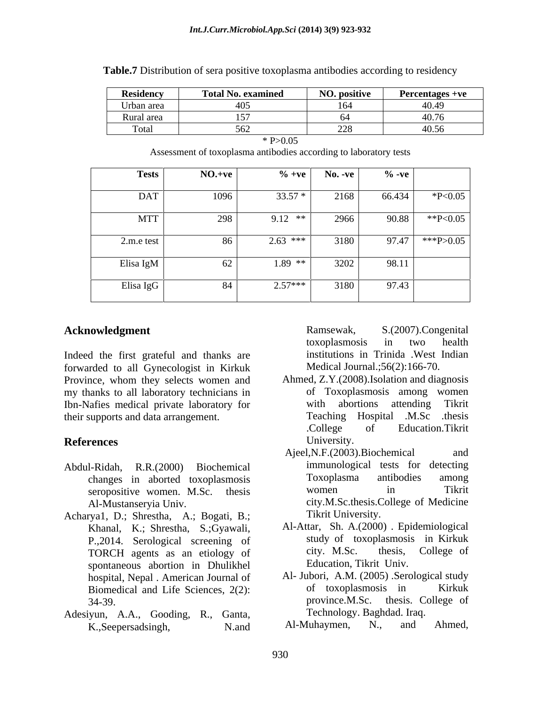| <b>Residency</b> |          | <b>Total No. examined</b>                                         | <b>NO. positive</b> |          | <b>Percentages +ve</b> |
|------------------|----------|-------------------------------------------------------------------|---------------------|----------|------------------------|
| Urban area       |          | 405                                                               | 164                 |          | 40.49                  |
| Rural area       |          | 157                                                               | 64                  |          | 40.76                  |
| Total            |          | 562                                                               | 228                 |          | 40.56                  |
|                  |          | $*P > 0.05$                                                       |                     |          |                        |
|                  |          | Assessment of toxoplasma antibodies according to laboratory tests |                     |          |                        |
|                  |          |                                                                   |                     |          |                        |
| <b>Tests</b>     | $NO.+ve$ |                                                                   | $\% +ve$ No. -ve    | $\%$ -ve |                        |
|                  |          |                                                                   |                     |          |                        |
| <b>DAT</b>       | 1096     | $33.57*$                                                          | 2168                | 66.434   | $*P<0.05$              |
|                  |          |                                                                   |                     |          |                        |
| <b>MTT</b>       | 298      | $9.12$ **                                                         | 2966                | 90.88    | **P<0.05               |
|                  |          |                                                                   |                     |          |                        |
| $2.m.e$ test     | 86       | $2.63$ ***                                                        | 3180                |          | 97.47 *** P > 0.05     |
| Elisa IgM        | 62       | $1.89$ **                                                         | 3202                | 98.11    |                        |
|                  |          |                                                                   |                     |          |                        |
| Elisa IgG        | 84       | $2.57***$                                                         | 3180                | 97.43    |                        |
|                  |          |                                                                   |                     |          |                        |

**Table.7** Distribution of sera positive toxoplasma antibodies according to residency

#### Acknowledgment Ramsewak,

Indeed the first grateful and thanks are institutions in Trinida . West Indian forwarded to all Gynecologist in Kirkuk Province, whom they selects women and my thanks to all laboratory technicians in Ibn-Nafies medical private laboratory for their supports and data arrangement. Teaching Hospital .M.Sc .thesis

- seropositive women. M.Sc. thesis women in
- Acharya1, D.; Shrestha, A.; Bogati, B.; Khanal, K.; Shrestha, S.;Gyawali, TORCH agents as an etiology of city. M.Sc. thesis, spontaneous abortion in Dhulikhel Biomedical and Life Sciences, 2(2):
- Adesiyun, A.A., Gooding, R., Ganta, Technology. Baghdad. Iraq.<br>
K Seenersadsingh N and Al-Muhaymen, N., and Ahmed, K.,Seepersadsingh, N.and Al-Muhaymen, N., and Ahmed,

S.(2007).Congenital toxoplasmosis in two health institutions in Trinida .West Indian Medical Journal.;56(2):166-70.

- **References** University. Ahmed, Z.Y.(2008).Isolation and diagnosis of Toxoplasmosis among women with abortions attending Tikrit Teaching Hospital .M.Sc .thesis .College of Education.Tikrit University.
- Abdul-Ridah, R.R.(2000) Biochemical immunological tests for detecting changes in aborted toxoplasmosis Toxoplasma antibodies among<br>seronositive women M Sc thesis women in Tikrit Al-Mustanseryia Univ. city.M.Sc.thesis.College of Medicine Ajeel,N.F.(2003).Biochemical and Toxoplasma antibodies among women in Tikrit Tikrit University.
	- P.,2014. Serological screening of the study of toxoplasmosis in Kirkuk<br>
	TORCH agents as an etiology of city. M.Sc. thesis, College of Al-Attar, Sh. A.(2000) . Epidemiological study of toxoplasmosis in Kirkuk city. M.Sc. thesis, College of Education, Tikrit Univ.
	- hospital, Nepal . American Journal of Al-Jubori, A.M. (2005) . Serological study<br>Riomedical and Life Sciences 2(2) of toxoplasmosis in Kirkuk 34-39. province.M.Sc. thesis. College of Al- Jubori, A.M. (2005) .Serological study of toxoplasmosis in Kirkuk Technology. Baghdad. Iraq.
		- Al-Muhaymen, N., and Ahmed,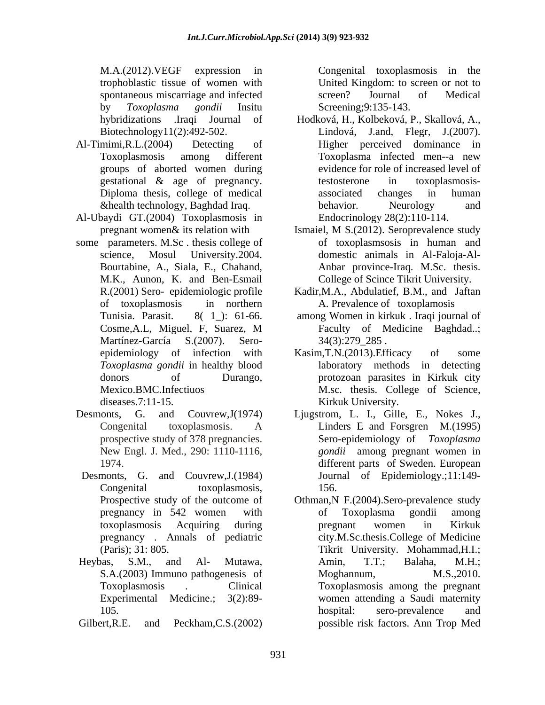M.A.(2012).VEGF expression in Congenital toxoplasmosis in the trophoblastic tissue of women with United Kingdom: to screen or not to spontaneous miscarriage and infected screen? Journal of Medical by *Toxoplasma gondii* Insitu

- groups of aborted women during
- Al-Ubaydi GT.(2004) Toxoplasmosis in
- some parameters. M.Sc . thesis college of M.K., Aunon, K. and Ben-Esmail
- 
- Desmonts, G. and Couvrew,J.(1984)
- Experimental Medicine.; 3(2):89-
- 

screen? Journal of Medical Screening;9:135-143.

- hybridizations .Iraqi Journal of Hodková, H., Kolbeková, P., Skallová, A., Lindová, J.and, Flegr, J.(2007). Biotechnology11(2):492-502. Lindová, J.and, Flegr, J.(2007). Al-Timimi,R.L.(2004) Detecting of Higher perceived dominance in Toxoplasmosis among different gestational & age of pregnancy. Diploma thesis, college of medical associated changes in human &health technology, Baghdad Iraq. Toxoplasma infected men--a new evidence for role of increased level of testosterone in toxoplasmosis associated changes in human behavior. Neurology and Endocrinology 28(2):110-114.
	- pregnant women& its relation with Ismaiel, M S.(2012). Seroprevalence study science, Mosul University.2004. domestic animals in Al-Faloja-Al- Bourtabine, A., Siala, E., Chahand, Anbar province-Iraq. M.Sc. thesis. of toxoplasmsosis in human and College of Scince Tikrit University.
	- R.(2001) Sero- epidemiologic profile Kadir,M.A., Abdulatief, B.M., and Jaftan of toxoplasmosis in northern A. Prevalence of toxoplamosis
	- Tunisia. Parasit. 8( 1\_): 61-66. among Women in kirkuk . Iraqi journal of Cosme,A.L, Miguel, F, Suarez, M Martínez-García S.(2007). Sero- 34(3):279\_285. Faculty of Medicine Baghdad..; 34(3):279\_285 .
	- epidemiology of infection with Kasim, T.N. (2013). Efficacy of some *Toxoplasma gondii* in healthy blood laboratory methods in detecting donors of Durango, protozoan parasites in Kirkuk city Mexico.BMC.Infectiuos M.sc. thesis. College of Science, diseases.7:11-15. Kirkuk University. Kasim,T.N.(2013).Efficacy of some
- Desmonts, G. and Couvrew,J(1974) Ljugstrom, L. I., Gille, E., Nokes J., Congenital toxoplasmosis. A prospective study of 378 pregnancies. Sero-epidemiology of *Toxoplasma*  New Engl. J. Med., 290: 1110-1116, *gondii* among pregnant women in 1974. different parts of Sweden. European Congenital toxoplasmosis, 156. Linders E and Forsgren M.(1995) Journal of Epidemiology.;11:149- 156.
- Prospective study of the outcome of Othman,N F.(2004).Sero-prevalence study pregnancy in 542 women with toxoplasmosis Acquiring during pregnancy . Annals of pediatric city.M.Sc.thesis.College of Medicine (Paris); 31: 805. Tikrit University. Mohammad,H.I.; Heybas, S.M., and Al- Mutawa, S.A.(2003) Immuno pathogenesis of Toxoplasmosis . Clinical Toxoplasmosis among the pregnant 105. hospital: sero-prevalence and Gilbert,R.E. and Peckham,C.S.(2002) possible risk factors. Ann Trop Medof Toxoplasma gondii among pregnant women in Kirkuk Amin, T.T.; Balaha, M.H.; Moghannum, M.S.,2010. women attending a Saudi maternity hospital: sero-prevalence and